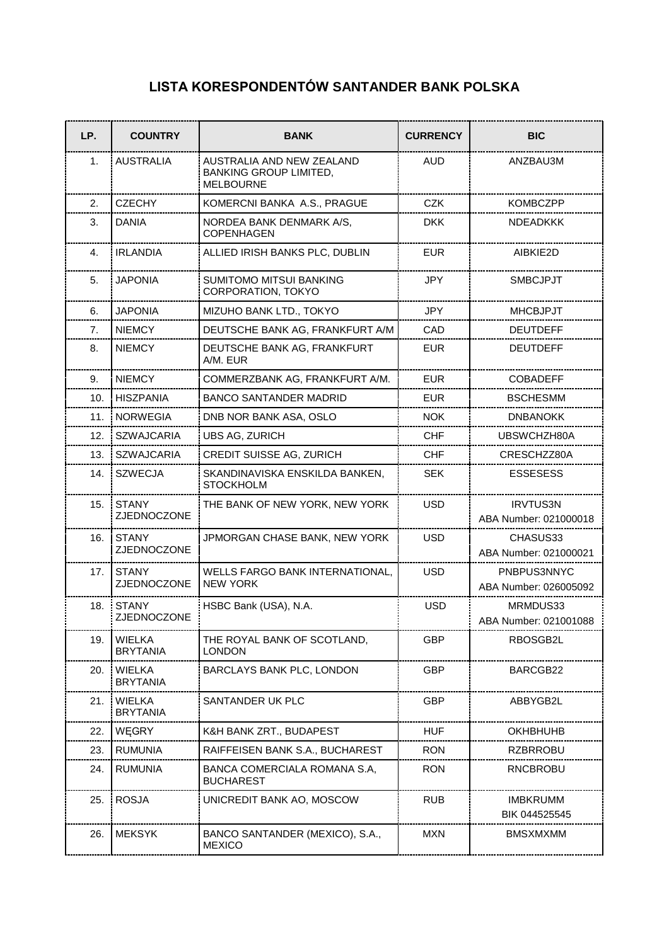## **LISTA KORESPONDENTÓW SANTANDER BANK POLSKA**

| LP.   | <b>COUNTRY</b>                   | <b>BANK</b>                                                                    | <b>CURRENCY</b> | <b>BIC</b>                               |
|-------|----------------------------------|--------------------------------------------------------------------------------|-----------------|------------------------------------------|
| 1.    | <b>AUSTRALIA</b>                 | AUSTRALIA AND NEW ZEALAND<br><b>BANKING GROUP LIMITED,</b><br><b>MELBOURNE</b> | <b>AUD</b>      | ANZBAU3M                                 |
| 2.    | <b>CZECHY</b>                    | KOMERCNI BANKA A.S., PRAGUE                                                    | <b>CZK</b>      | <b>KOMBCZPP</b>                          |
| 3.    | DANIA                            | NORDEA BANK DENMARK A/S,<br>COPENHAGEN                                         | <b>DKK</b>      | <b>NDEADKKK</b>                          |
| 4.    | <b>IRLANDIA</b>                  | ALLIED IRISH BANKS PLC, DUBLIN                                                 | <b>EUR</b>      | AIBKIE2D                                 |
| 5.    | <b>JAPONIA</b>                   | SUMITOMO MITSUI BANKING<br>CORPORATION, TOKYO                                  | <b>JPY</b>      | <b>SMBCJPJT</b>                          |
| 6.    | <b>JAPONIA</b>                   | MIZUHO BANK LTD., TOKYO                                                        | <b>JPY</b>      | <b>MHCBJPJT</b>                          |
| 7.    | <b>NIEMCY</b>                    | DEUTSCHE BANK AG, FRANKFURT A/M                                                | CAD             | <b>DEUTDEFF</b>                          |
| 8.    | <b>NIEMCY</b>                    | DEUTSCHE BANK AG, FRANKFURT<br>A/M. EUR                                        | <b>EUR</b>      | DEUTDEFF                                 |
| 9.    | <b>NIEMCY</b>                    | COMMERZBANK AG, FRANKFURT A/M.                                                 | <b>EUR</b>      | <b>COBADEFF</b>                          |
| 10.   | <b>HISZPANIA</b>                 | <b>BANCO SANTANDER MADRID</b>                                                  | <b>EUR</b>      | <b>BSCHESMM</b>                          |
|       | 11. NORWEGIA                     | DNB NOR BANK ASA, OSLO                                                         | <b>NOK</b>      | <b>DNBANOKK</b>                          |
| 12. . | <b>SZWAJCARIA</b>                | <b>UBS AG, ZURICH</b>                                                          | <b>CHF</b>      | UBSWCHZH80A                              |
| 13.   | <b>SZWAJCARIA</b>                | CREDIT SUISSE AG, ZURICH                                                       | <b>CHF</b>      | CRESCHZZ80A                              |
| 14.   | <b>SZWECJA</b>                   | SKANDINAVISKA ENSKILDA BANKEN,<br><b>STOCKHOLM</b>                             | <b>SEK</b>      | <b>ESSESESS</b>                          |
| 15.   | <b>STANY</b><br>ZJEDNOCZONE      | THE BANK OF NEW YORK, NEW YORK                                                 | <b>USD</b>      | <b>IRVTUS3N</b><br>ABA Number: 021000018 |
| 16.   | <b>STANY</b><br>ZJEDNOCZONE      | JPMORGAN CHASE BANK, NEW YORK                                                  | <b>USD</b>      | CHASUS33<br>ABA Number: 021000021        |
| 17.   | <b>STANY</b><br>ZJEDNOCZONE      | WELLS FARGO BANK INTERNATIONAL,<br><b>NEW YORK</b>                             | <b>USD</b>      | PNBPUS3NNYC<br>ABA Number: 026005092     |
|       | 18. STANY<br>ZJEDNOCZONE         | HSBC Bank (USA), N.A.                                                          | <b>USD</b>      | MRMDUS33<br>ABA Number: 021001088        |
| 19.   | <b>WIELKA</b><br><b>BRYTANIA</b> | THE ROYAL BANK OF SCOTLAND,<br><b>LONDON</b>                                   | <b>GBP</b>      | RBOSGB2L                                 |
| 20.   | WIELKA<br><b>BRYTANIA</b>        | BARCLAYS BANK PLC, LONDON                                                      | GBP             | BARCGB22                                 |
| 21.   | <b>WIELKA</b><br><b>BRYTANIA</b> | SANTANDER UK PLC                                                               | <b>GBP</b>      | ABBYGB2L                                 |
| 22.   | WĘGRY                            | K&H BANK ZRT., BUDAPEST                                                        | <b>HUF</b>      | OKHBHUHB                                 |
| 23.   | <b>RUMUNIA</b>                   | RAIFFEISEN BANK S.A., BUCHAREST                                                | <b>RON</b>      | <b>RZBRROBU</b>                          |
| 24.   | <b>RUMUNIA</b>                   | BANCA COMERCIALA ROMANA S.A,<br><b>BUCHAREST</b>                               | <b>RON</b>      | RNCBROBU                                 |
| 25.   | <b>ROSJA</b>                     | UNICREDIT BANK AO, MOSCOW                                                      | <b>RUB</b>      | <b>IMBKRUMM</b><br>BIK 044525545         |
| 26.   | <b>MEKSYK</b>                    | BANCO SANTANDER (MEXICO), S.A.,<br><b>MEXICO</b>                               | <b>MXN</b>      | <b>BMSXMXMM</b>                          |